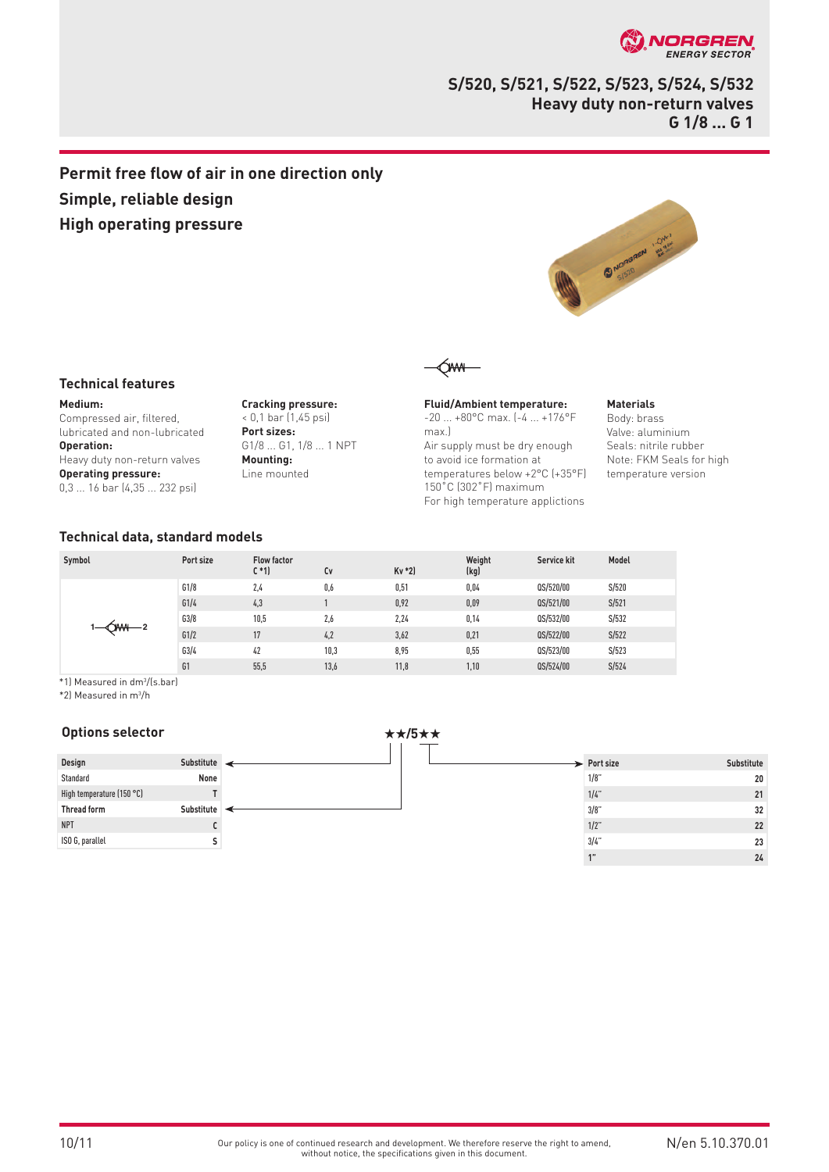

# **S/520, S/521, S/522, S/523, S/524, S/532 Heavy duty non-return valves G 1/8 ... G 1**

# **Permit free flow of air in one direction only Simple, reliable design High operating pressure**



# **Technical features**

**Medium:** Compressed air, filtered, lubricated and non-lubricated **Operation:** Heavy duty non-return valves **Operating pressure:** 0,3 ... 16 bar (4,35 ... 232 psi)

**Cracking pressure:** < 0,1 bar (1,45 psi) **Port sizes:**  G1/8 ... G1, 1/8 ... 1 NPT **Mounting:** Line mounted



**Fluid/Ambient temperature:** -20 ... +80°C max. (-4 ... +176°F max.) Air supply must be dry enough to avoid ice formation at temperatures below +2°C (+35°F) 150˚C (302˚F) maximum For high temperature applictions

#### **Materials**

Body: brass Valve: aluminium Seals: nitrile rubber Note: FKM Seals for high temperature version

## **Technical data, standard models**

| Symbol | Port size | <b>Flow factor</b><br>$C*1$ | Cv   | $Kv * 2$ | Weight<br>(kg) | Service kit | Model |
|--------|-----------|-----------------------------|------|----------|----------------|-------------|-------|
|        | G1/8      | 2,4                         | 0,6  | 0,51     | 0.04           | QS/520/00   | S/520 |
|        | G1/4      | 4,3                         |      | 0,92     | 0,09           | QS/521/00   | S/521 |
|        | G3/8      | 10,5                        | 2,6  | 2,24     | 0,14           | QS/532/00   | S/532 |
|        | G1/2      | 17                          | 4,2  | 3,62     | 0,21           | QS/522/00   | S/522 |
|        | G3/4      | 42                          | 10,3 | 8,95     | 0,55           | QS/523/00   | S/523 |
|        | G1        | 55,5                        | 13,6 | 11,8     | 1,10           | QS/524/00   | S/524 |

\*1) Measured in dm3 /(s.bar)

\*2) Measured in m3 /h